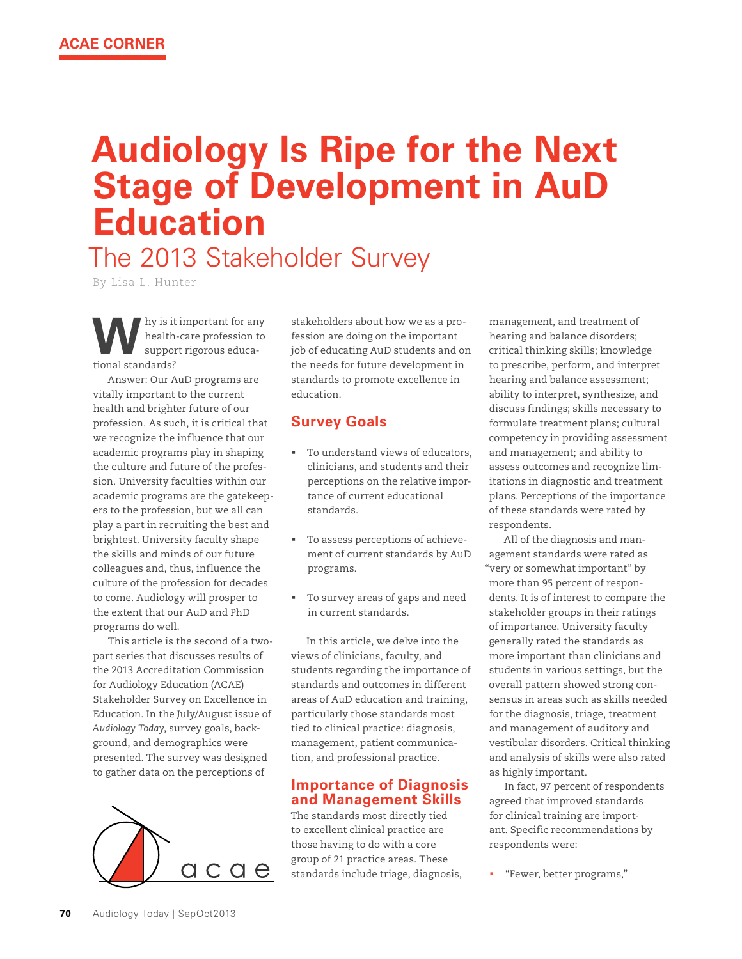# **Audiology Is Ripe for the Next Stage of Development in AuD Education**

The 2013 Stakeholder Survey

By Lisa L. Hunter

**W** health-care profession to<br>support rigorous educahealth-care profession to support rigorous educational standards?

Answer: Our AuD programs are vitally important to the current health and brighter future of our profession. As such, it is critical that we recognize the influence that our academic programs play in shaping the culture and future of the profession. University faculties within our academic programs are the gatekeepers to the profession, but we all can play a part in recruiting the best and brightest. University faculty shape the skills and minds of our future colleagues and, thus, influence the culture of the profession for decades to come. Audiology will prosper to the extent that our AuD and PhD programs do well.

This article is the second of a twopart series that discusses results of the 2013 Accreditation Commission for Audiology Education (ACAE) Stakeholder Survey on Excellence in Education. In the July/August issue of *Audiology Today*, survey goals, background, and demographics were presented. The survey was designed to gather data on the perceptions of



stakeholders about how we as a profession are doing on the important job of educating AuD students and on the needs for future development in standards to promote excellence in education.

## **Survey Goals**

- ! To understand views of educators, clinicians, and students and their perceptions on the relative importance of current educational standards.
- ! To assess perceptions of achievement of current standards by AuD programs.
- ! To survey areas of gaps and need in current standards.

In this article, we delve into the views of clinicians, faculty, and students regarding the importance of standards and outcomes in different areas of AuD education and training, particularly those standards most tied to clinical practice: diagnosis, management, patient communication, and professional practice.

### **Importance of Diagnosis and Management Skills**

The standards most directly tied to excellent clinical practice are those having to do with a core group of 21 practice areas. These standards include triage, diagnosis, management, and treatment of hearing and balance disorders; critical thinking skills; knowledge to prescribe, perform, and interpret hearing and balance assessment; ability to interpret, synthesize, and discuss findings; skills necessary to formulate treatment plans; cultural competency in providing assessment and management; and ability to assess outcomes and recognize limitations in diagnostic and treatment plans. Perceptions of the importance of these standards were rated by respondents.

All of the diagnosis and management standards were rated as "very or somewhat important" by more than 95 percent of respondents. It is of interest to compare the stakeholder groups in their ratings of importance. University faculty generally rated the standards as more important than clinicians and students in various settings, but the overall pattern showed strong consensus in areas such as skills needed for the diagnosis, triage, treatment and management of auditory and vestibular disorders. Critical thinking and analysis of skills were also rated as highly important.

In fact, 97 percent of respondents agreed that improved standards for clinical training are important. Specific recommendations by respondents were:

"Fewer, better programs,"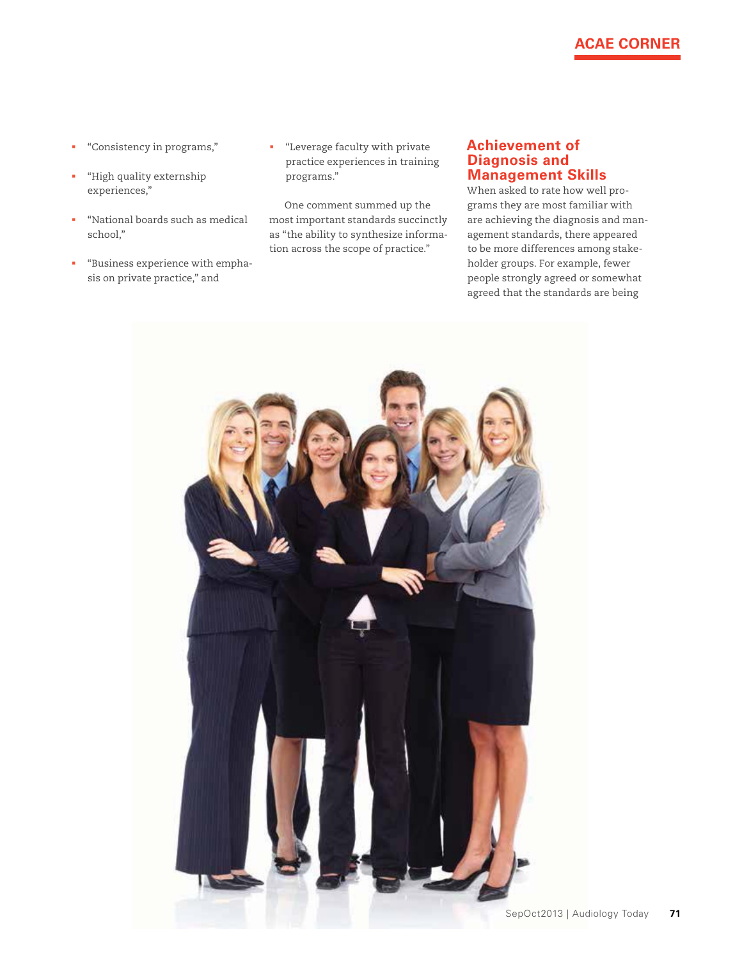## **ACAE CORNER**

- ! "Consistency in programs,"
- ! "High quality externship experiences,"
- ! "National boards such as medical school,"
- ! "Business experience with emphasis on private practice," and
- ! "Leverage faculty with private practice experiences in training programs."

One comment summed up the most important standards succinctly as "the ability to synthesize information across the scope of practice."

#### **Achievement of Diagnosis and Management Skills**

When asked to rate how well programs they are most familiar with are achieving the diagnosis and management standards, there appeared to be more differences among stakeholder groups. For example, fewer people strongly agreed or somewhat agreed that the standards are being